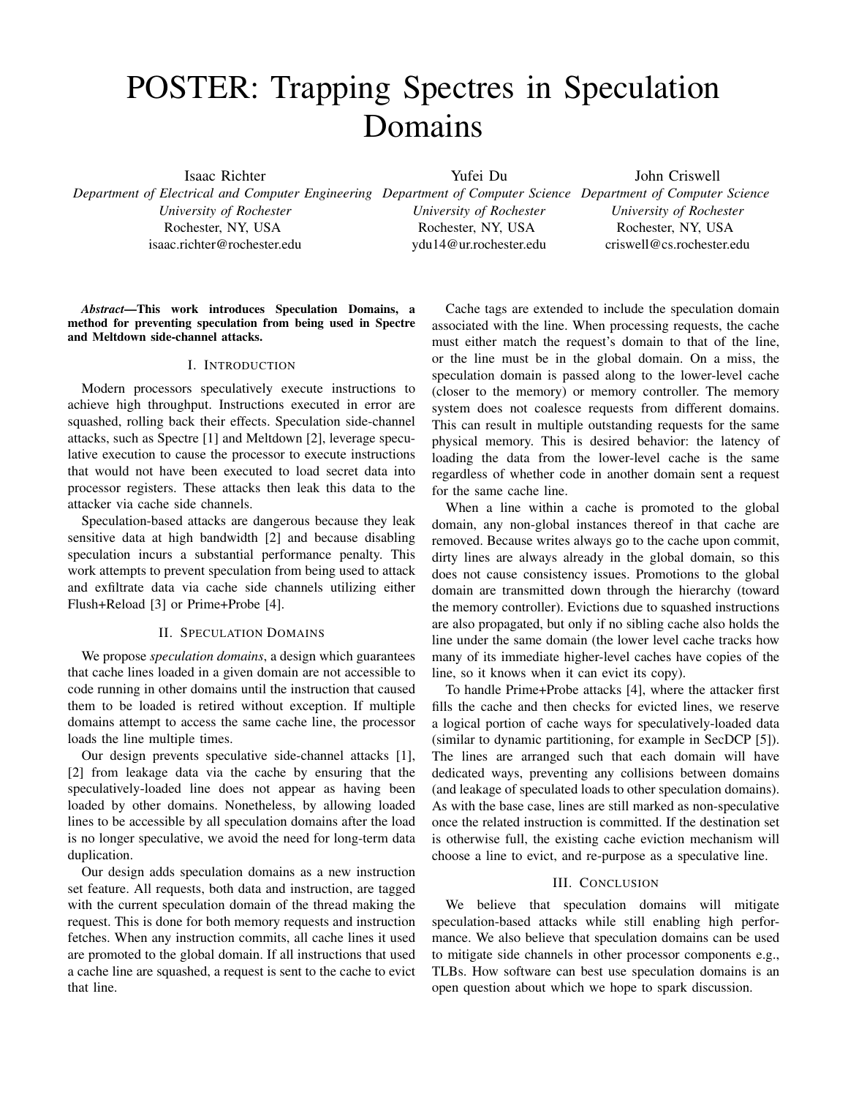# POSTER: Trapping Spectres in Speculation Domains

Isaac Richter

*University of Rochester* Rochester, NY, USA isaac.richter@rochester.edu Yufei Du

*University of Rochester* Rochester, NY, USA ydu14@ur.rochester.edu

*Department of Electrical and Computer Engineering Department of Computer Science Department of Computer Science* John Criswell *University of Rochester* Rochester, NY, USA criswell@cs.rochester.edu

*Abstract*—This work introduces Speculation Domains, a method for preventing speculation from being used in Spectre and Meltdown side-channel attacks.

# I. INTRODUCTION

Modern processors speculatively execute instructions to achieve high throughput. Instructions executed in error are squashed, rolling back their effects. Speculation side-channel attacks, such as Spectre [1] and Meltdown [2], leverage speculative execution to cause the processor to execute instructions that would not have been executed to load secret data into processor registers. These attacks then leak this data to the attacker via cache side channels.

Speculation-based attacks are dangerous because they leak sensitive data at high bandwidth [2] and because disabling speculation incurs a substantial performance penalty. This work attempts to prevent speculation from being used to attack and exfiltrate data via cache side channels utilizing either Flush+Reload [3] or Prime+Probe [4].

### II. SPECULATION DOMAINS

We propose *speculation domains*, a design which guarantees that cache lines loaded in a given domain are not accessible to code running in other domains until the instruction that caused them to be loaded is retired without exception. If multiple domains attempt to access the same cache line, the processor loads the line multiple times.

Our design prevents speculative side-channel attacks [1], [2] from leakage data via the cache by ensuring that the speculatively-loaded line does not appear as having been loaded by other domains. Nonetheless, by allowing loaded lines to be accessible by all speculation domains after the load is no longer speculative, we avoid the need for long-term data duplication.

Our design adds speculation domains as a new instruction set feature. All requests, both data and instruction, are tagged with the current speculation domain of the thread making the request. This is done for both memory requests and instruction fetches. When any instruction commits, all cache lines it used are promoted to the global domain. If all instructions that used a cache line are squashed, a request is sent to the cache to evict that line.

Cache tags are extended to include the speculation domain associated with the line. When processing requests, the cache must either match the request's domain to that of the line, or the line must be in the global domain. On a miss, the speculation domain is passed along to the lower-level cache (closer to the memory) or memory controller. The memory system does not coalesce requests from different domains. This can result in multiple outstanding requests for the same physical memory. This is desired behavior: the latency of loading the data from the lower-level cache is the same regardless of whether code in another domain sent a request for the same cache line.

When a line within a cache is promoted to the global domain, any non-global instances thereof in that cache are removed. Because writes always go to the cache upon commit, dirty lines are always already in the global domain, so this does not cause consistency issues. Promotions to the global domain are transmitted down through the hierarchy (toward the memory controller). Evictions due to squashed instructions are also propagated, but only if no sibling cache also holds the line under the same domain (the lower level cache tracks how many of its immediate higher-level caches have copies of the line, so it knows when it can evict its copy).

To handle Prime+Probe attacks [4], where the attacker first fills the cache and then checks for evicted lines, we reserve a logical portion of cache ways for speculatively-loaded data (similar to dynamic partitioning, for example in SecDCP [5]). The lines are arranged such that each domain will have dedicated ways, preventing any collisions between domains (and leakage of speculated loads to other speculation domains). As with the base case, lines are still marked as non-speculative once the related instruction is committed. If the destination set is otherwise full, the existing cache eviction mechanism will choose a line to evict, and re-purpose as a speculative line.

# III. CONCLUSION

We believe that speculation domains will mitigate speculation-based attacks while still enabling high performance. We also believe that speculation domains can be used to mitigate side channels in other processor components e.g., TLBs. How software can best use speculation domains is an open question about which we hope to spark discussion.